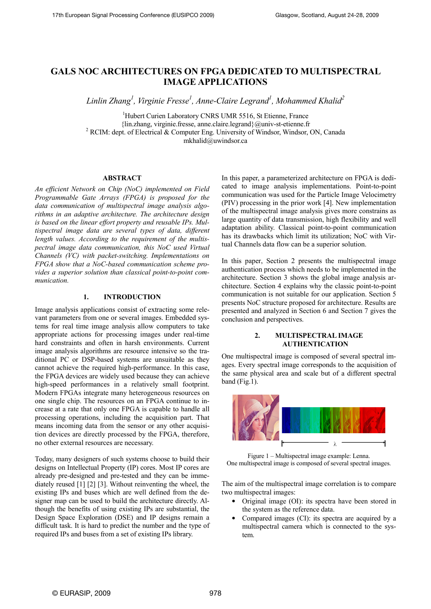# GALS NOC ARCHITECTURES ON FPGA DEDICATED TO MULTISPECTRAL IMAGE APPLICATIONS

Linlin Zhang<sup>1</sup>, Virginie Fresse<sup>1</sup>, Anne-Claire Legrand<sup>1</sup>, Mohammed Khalid<sup>2</sup>

<sup>1</sup>Hubert Curien Laboratory CNRS UMR 5516, St Etienne, France {lin.zhang, virginie.fresse, anne.claire.legrand}@univ-st-etienne.fr <sup>2</sup> RCIM: dept. of Electrical & Computer Eng. University of Windsor, Windsor, ON, Canada mkhalid@uwindsor.ca

# ABSTRACT

An efficient Network on Chip (NoC) implemented on Field Programmable Gate Arrays (FPGA) is proposed for the data communication of multispectral image analysis algorithms in an adaptive architecture. The architecture design is based on the linear effort property and reusable IPs. Multispectral image data are several types of data, different length values. According to the requirement of the multispectral image data communication, this NoC used Virtual Channels (VC) with packet-switching. Implementations on FPGA show that a NoC-based communication scheme provides a superior solution than classical point-to-point communication.

## 1. INTRODUCTION

Image analysis applications consist of extracting some relevant parameters from one or several images. Embedded systems for real time image analysis allow computers to take appropriate actions for processing images under real-time hard constraints and often in harsh environments. Current image analysis algorithms are resource intensive so the traditional PC or DSP-based systems are unsuitable as they cannot achieve the required high-performance. In this case, the FPGA devices are widely used because they can achieve high-speed performances in a relatively small footprint. Modern FPGAs integrate many heterogeneous resources on one single chip. The resources on an FPGA continue to increase at a rate that only one FPGA is capable to handle all processing operations, including the acquisition part. That means incoming data from the sensor or any other acquisition devices are directly processed by the FPGA, therefore, no other external resources are necessary.

Today, many designers of such systems choose to build their designs on Intellectual Property (IP) cores. Most IP cores are already pre-designed and pre-tested and they can be immediately reused [1] [2] [3]. Without reinventing the wheel, the existing IPs and buses which are well defined from the designer map can be used to build the architecture directly. Although the benefits of using existing IPs are substantial, the Design Space Exploration (DSE) and IP designs remain a difficult task. It is hard to predict the number and the type of required IPs and buses from a set of existing IPs library.

In this paper, a parameterized architecture on FPGA is dedicated to image analysis implementations. Point-to-point communication was used for the Particle Image Velocimetry (PIV) processing in the prior work [4]. New implementation of the multispectral image analysis gives more constrains as large quantity of data transmission, high flexibility and well adaptation ability. Classical point-to-point communication has its drawbacks which limit its utilization; NoC with Virtual Channels data flow can be a superior solution.

In this paper, Section 2 presents the multispectral image authentication process which needs to be implemented in the architecture. Section 3 shows the global image analysis architecture. Section 4 explains why the classic point-to-point communication is not suitable for our application. Section 5 presents NoC structure proposed for architecture. Results are presented and analyzed in Section 6 and Section 7 gives the conclusion and perspectives.

# 2. MULTISPECTRAL IMAGE AUTHENTICATION

One multispectral image is composed of several spectral images. Every spectral image corresponds to the acquisition of the same physical area and scale but of a different spectral band (Fig.1).



Figure 1 – Multispectral image example: Lenna. One multispectral image is composed of several spectral images.

The aim of the multispectral image correlation is to compare two multispectral images:

- Original image (OI): its spectra have been stored in the system as the reference data.
- Compared images (CI): its spectra are acquired by a multispectral camera which is connected to the system.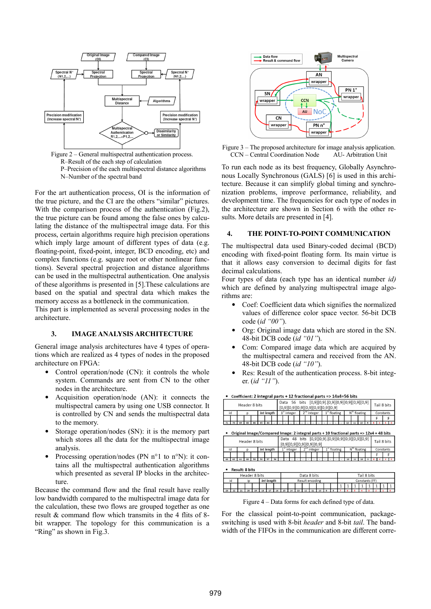

R–Result of the each step of calculation P–Precision of the each multispectral distance algorithms N–Number of the spectral band

For the art authentication process, OI is the information of the true picture, and the CI are the others "similar" pictures. With the comparison process of the authentication (Fig.2), the true picture can be found among the false ones by calculating the distance of the multispectral image data. For this process, certain algorithms require high precision operations which imply large amount of different types of data (e.g. floating-point, fixed-point, integer, BCD encoding, etc) and complex functions (e.g. square root or other nonlinear functions). Several spectral projection and distance algorithms can be used in the multispectral authentication. One analysis of these algorithms is presented in [5].These calculations are based on the spatial and spectral data which makes the memory access as a bottleneck in the communication.

This part is implemented as several processing nodes in the architecture.

### 3. IMAGE ANALYSIS ARCHITECTURE

General image analysis architectures have 4 types of operations which are realized as 4 types of nodes in the proposed architecture on FPGA:

- Control operation/node (CN): it controls the whole system. Commands are sent from CN to the other nodes in the architecture.
- Acquisition operation/node (AN): it connects the multispectral camera by using one USB connector. It is controlled by CN and sends the multispectral data to the memory.
- Storage operation/nodes (SN): it is the memory part which stores all the data for the multispectral image analysis.
- Processing operation/nodes (PN n°1 to n°N): it contains all the multispectral authentication algorithms which presented as several IP blocks in the architecture.

Because the command flow and the final result have really low bandwidth compared to the multispectral image data for the calculation, these two flows are grouped together as one result & command flow which transmits in the 4 flits of 8 bit wrapper. The topology for this communication is a "Ring" as shown in Fig.3.



Figure 3 – The proposed architecture for image analysis application. CCN – Central Coordination Node AU- Arbitration Unit

To run each node as its best frequency, Globally Asynchronous Locally Synchronous (GALS) [6] is used in this architecture. Because it can simplify global timing and synchronization problems, improve performance, reliability, and development time. The frequencies for each type of nodes in the architecture are shown in Section 6 with the other results. More details are presented in [4].

### 4. THE POINT-TO-POINT COMMUNICATION

The multispectral data used Binary-coded decimal (BCD) encoding with fixed-point floating form. Its main virtue is that it allows easy conversion to decimal digits for fast decimal calculations.

Four types of data (each type has an identical number id) which are defined by analyzing multispectral image algorithms are:

- Coef: Coefficient data which signifies the normalized values of difference color space vector. 56-bit DCB code (id "00").
- Org: Original image data which are stored in the SN. 48-bit DCB code (id "01").
- Com: Compared image data which are acquired by the multispectral camera and received from the AN. 48-bit DCB code (id "10").
- Res: Result of the authentication process. 8-bit integer. (id "11").

| Header 8 bits |                                                                                                                |  |     |    |  |            |  |  |               |  |  |               |               |  |  | [0,9][0,9][0,9][0,9][0,9][0,9][0,9] |  |          |  |  |                |           | Tail 8 bits |           |
|---------------|----------------------------------------------------------------------------------------------------------------|--|-----|----|--|------------|--|--|---------------|--|--|---------------|---------------|--|--|-------------------------------------|--|----------|--|--|----------------|-----------|-------------|-----------|
| id            |                                                                                                                |  | n   |    |  | Int lenath |  |  | $1st$ integer |  |  | $2nd$ integer |               |  |  | $1st$ floating                      |  |          |  |  | $Nth$ floating | Constants |             |           |
|               |                                                                                                                |  |     |    |  |            |  |  |               |  |  |               |               |  |  |                                     |  |          |  |  |                |           |             |           |
|               | 70                                                                                                             |  | 6.R | 66 |  | 64         |  |  |               |  |  |               |               |  |  |                                     |  |          |  |  |                |           |             |           |
|               | Original Image/Compared Image: 2 integral parts + 10 fractional parts => 12x4 = 48 bits                        |  |     |    |  |            |  |  |               |  |  |               |               |  |  |                                     |  |          |  |  |                |           |             |           |
|               | Data 48 bits [0,9][0,9].[0,9][0,9][0,9][0,9][0,9]<br>Tail 8 bits<br>Header 8 bits<br>[0,9][0,9][0,9][0,9][0,9] |  |     |    |  |            |  |  |               |  |  |               |               |  |  |                                     |  |          |  |  |                |           |             |           |
| id            |                                                                                                                |  |     |    |  | Int lenath |  |  | $1st$ integer |  |  |               | $2nd$ integer |  |  |                                     |  | floating |  |  | $Nth$ floating |           |             | Constants |

• Coefficient: 2 integral parts + 12 fractional parts => 14x4=56 bits Data 56 bits (0.9)[0.9] [0.9][0.9][0.9][0.9][0.9][0.9]

| Header 8 bits                               |                  |                       |    |                                            |    |    |    |                | [0,9][0,9][0,9][0,9][0,9] |  |                |  |  |  |  |  |           |  |  |    |  |    | Tail 8 bits |  |  |  |  |
|---------------------------------------------|------------------|-----------------------|----|--------------------------------------------|----|----|----|----------------|---------------------------|--|----------------|--|--|--|--|--|-----------|--|--|----|--|----|-------------|--|--|--|--|
|                                             | Int length<br>id |                       |    | $2nd$ integer<br>$1st$ floating<br>integer |    |    |    |                |                           |  | $Nth$ floating |  |  |  |  |  | Constants |  |  |    |  |    |             |  |  |  |  |
|                                             |                  |                       |    |                                            |    |    |    |                |                           |  |                |  |  |  |  |  |           |  |  |    |  |    |             |  |  |  |  |
| 63                                          | 62               | 61                    | 60 | 59                                         | 58 | 57 | 56 |                |                           |  |                |  |  |  |  |  |           |  |  | 12 |  | 10 |             |  |  |  |  |
| $\bullet$                                   |                  | <b>Result: 8 bits</b> |    |                                            |    |    |    |                |                           |  |                |  |  |  |  |  |           |  |  |    |  |    |             |  |  |  |  |
| Tail 8 bits<br>Header 8 bits<br>Data 8 bits |                  |                       |    |                                            |    |    |    |                |                           |  |                |  |  |  |  |  |           |  |  |    |  |    |             |  |  |  |  |
| Int lenath<br>id<br>Result encoding<br>ip   |                  |                       |    |                                            |    |    |    | Constants (FF) |                           |  |                |  |  |  |  |  |           |  |  |    |  |    |             |  |  |  |  |

Figure 4 – Data forms for each defined type of data.

For the classical point-to-point communication, packageswitching is used with 8-bit *header* and 8-bit *tail*. The bandwidth of the FIFOs in the communication are different corre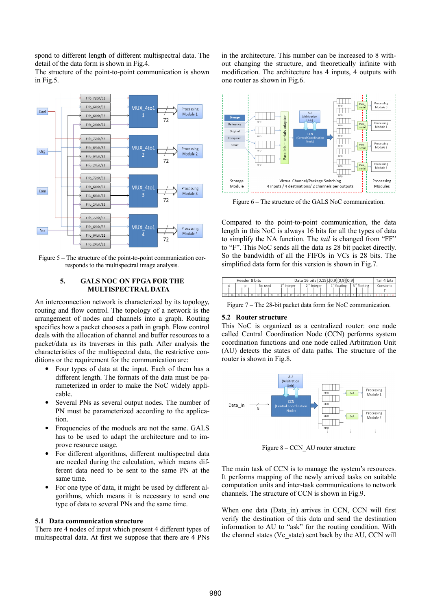spond to different length of different multispectral data. The detail of the data form is shown in Fig.4.

The structure of the point-to-point communication is shown in Fig.5.



Figure 5 – The structure of the point-to-point communication corresponds to the multispectral image analysis.

# 5. GALS NOC ON FPGA FOR THE MULTISPECTRAL DATA

An interconnection network is characterized by its topology, routing and flow control. The topology of a network is the arrangement of nodes and channels into a graph. Routing specifies how a packet chooses a path in graph. Flow control deals with the allocation of channel and buffer resources to a packet/data as its traverses in this path. After analysis the characteristics of the multispectral data, the restrictive conditions or the requirement for the communication are:

- Four types of data at the input. Each of them has a different length. The formats of the data must be parameterized in order to make the NoC widely applicable.
- Several PNs as several output nodes. The number of PN must be parameterized according to the application.
- Frequencies of the moduels are not the same. GALS has to be used to adapt the architecture and to improve resource usage.
- For different algorithms, different multispectral data are needed during the calculation, which means different data need to be sent to the same PN at the same time.
- For one type of data, it might be used by different algorithms, which means it is necessary to send one type of data to several PNs and the same time.

#### 5.1 Data communication structure

There are 4 nodes of input which present 4 different types of multispectral data. At first we suppose that there are 4 PNs in the architecture. This number can be increased to 8 without changing the structure, and theoretically infinite with modification. The architecture has 4 inputs, 4 outputs with one router as shown in Fig.6.



Figure 6 – The structure of the GALS NoC communication.

Compared to the point-to-point communication, the data length in this NoC is always 16 bits for all the types of data to simplify the NA function. The *tail* is changed from "FF" to "F". This NoC sends all the data as 28 bit packet directly. So the bandwidth of all the FIFOs in VCs is 28 bits. The simplified data form for this version is shown in Fig.7.

| Header 8 bits |    |    |    |  |  |         |  | Data 16 bits [0,15].[0,9][0,9][0,9] |    |  |                      |          |  |  |  |                       |    |  |  | Tail 4 bits |  |  |  |  |  |  |  |
|---------------|----|----|----|--|--|---------|--|-------------------------------------|----|--|----------------------|----------|--|--|--|-----------------------|----|--|--|-------------|--|--|--|--|--|--|--|
| No used<br>id |    |    |    |  |  | integer |  |                                     |    |  | $\sim$ nd<br>integer | floating |  |  |  | $\sim$ ra<br>floating |    |  |  | Constants   |  |  |  |  |  |  |  |
|               |    |    |    |  |  |         |  |                                     |    |  |                      |          |  |  |  |                       |    |  |  |             |  |  |  |  |  |  |  |
|               | 26 | ٦c | 24 |  |  | 21      |  | 19                                  | 18 |  |                      |          |  |  |  |                       | 10 |  |  |             |  |  |  |  |  |  |  |

Figure 7 – The 28-bit packet data form for NoC communication.

#### 5.2 Router structure

This NoC is organized as a centralized router: one node called Central Coordination Node (CCN) performs system coordination functions and one node called Arbitration Unit (AU) detects the states of data paths. The structure of the router is shown in Fig.8.



Figure 8 – CCN\_AU router structure

The main task of CCN is to manage the system's resources. It performs mapping of the newly arrived tasks on suitable computation units and inter-task communications to network channels. The structure of CCN is shown in Fig.9.

When one data (Data\_in) arrives in CCN, CCN will first verify the destination of this data and send the destination information to AU to "ask" for the routing condition. With the channel states (Vc\_state) sent back by the AU, CCN will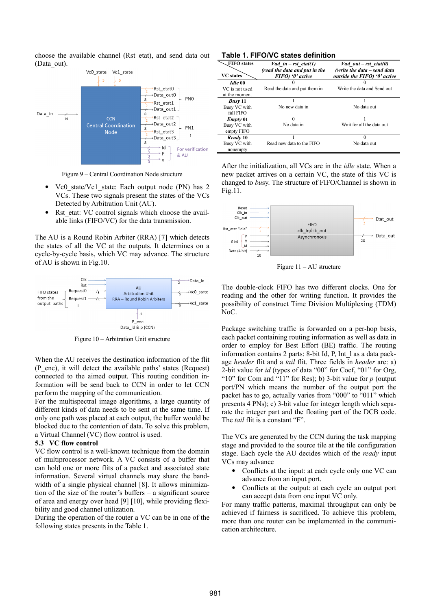choose the available channel (Rst\_etat), and send data out (Data\_out).



Figure 9 – Central Coordination Node structure

- Vc0 state/Vc1 state: Each output node (PN) has 2 VCs. These two signals present the states of the VCs Detected by Arbitration Unit (AU).
- Rst\_etat: VC control signals which choose the available links (FIFO/VC) for the data transmission.

The AU is a Round Robin Arbiter (RRA) [7] which detects the states of all the VC at the outputs. It determines on a cycle-by-cycle basis, which VC may advance. The structure of AU is shown in Fig.10.



Figure 10 – Arbitration Unit structure

When the AU receives the destination information of the flit (P\_enc), it will detect the available paths' states (Request) connected to the aimed output. This routing condition information will be send back to CCN in order to let CCN perform the mapping of the communication.

For the multispectral image algorithms, a large quantity of different kinds of data needs to be sent at the same time. If only one path was placed at each output, the buffer would be blocked due to the contention of data. To solve this problem, a Virtual Channel (VC) flow control is used.

#### 5.3 VC flow control

VC flow control is a well-known technique from the domain of multiprocessor network. A VC consists of a buffer that can hold one or more flits of a packet and associated state information. Several virtual channels may share the bandwidth of a single physical channel [8]. It allows minimization of the size of the router's buffers – a significant source of area and energy over head [9] [10], while providing flexibility and good channel utilization.

During the operation of the router a VC can be in one of the following states presents in the Table 1.

|  |  |  | Table 1. FIFO/VC states definition |
|--|--|--|------------------------------------|
|--|--|--|------------------------------------|

| FIFO states      | Vad in – rst etat(1)<br>(read the data and put in the | <i>Vad out – rst etat(0)</i><br>(write the data – send data |
|------------------|-------------------------------------------------------|-------------------------------------------------------------|
| <b>VC</b> states | FIFO) '0' active                                      | <i>outside the FIFO</i> '0' active                          |
| Idle 00          |                                                       |                                                             |
| VC is not used   | Read the data and put them in                         | Write the data and Send out                                 |
| at the moment    |                                                       |                                                             |
| <b>Busy</b> 11   |                                                       |                                                             |
| Busy VC with     | No new data in                                        | No data out                                                 |
| full FIFO        |                                                       |                                                             |
| $Empty\ 01$      | $\Omega$                                              |                                                             |
| Busy VC with     | No data in                                            | Wait for all the data out                                   |
| empty FIFO       |                                                       |                                                             |
| Ready 10         |                                                       | $\Omega$                                                    |
| Busy VC with     | Read new data to the FIFO                             | No data out                                                 |
| nonempty         |                                                       |                                                             |

After the initialization, all VCs are in the idle state. When a new packet arrives on a certain VC, the state of this VC is changed to busy. The structure of FIFO/Channel is shown in Fig.11.



Figure 11 – AU structure

The double-clock FIFO has two different clocks. One for reading and the other for writing function. It provides the possibility of construct Time Division Multiplexing (TDM) NoC.

Package switching traffic is forwarded on a per-hop basis, each packet containing routing information as well as data in order to employ for Best Effort (BE) traffic. The routing information contains 2 parts: 8-bit Id, P, Int\_l as a data package header flit and a tail flit. Three fields in header are: a) 2-bit value for id (types of data "00" for Coef, "01" for Org, "10" for Com and "11" for Res); b) 3-bit value for  $p$  (output port/PN which means the number of the output port the packet has to go, actually varies from "000" to "011" which presents 4 PNs); c) 3-bit value for integer length which separate the integer part and the floating part of the DCB code. The *tail* flit is a constant "F".

The VCs are generated by the CCN during the task mapping stage and provided to the source tile at the tile configuration stage. Each cycle the AU decides which of the ready input VCs may advance

- Conflicts at the input: at each cycle only one VC can advance from an input port.
- Conflicts at the output: at each cycle an output port can accept data from one input VC only.

For many traffic patterns, maximal throughput can only be achieved if fairness is sacrificed. To achieve this problem, more than one router can be implemented in the communication architecture.